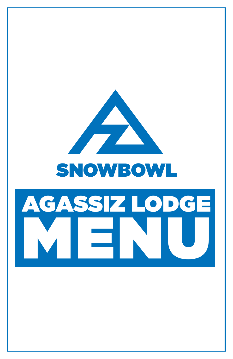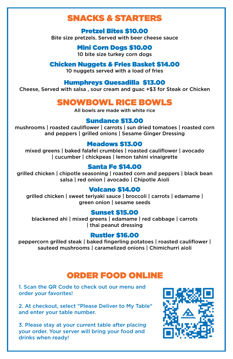# SNACKS & STARTERS

#### Pretzel Bites \$10.00 Bite size pretzels. Served with beer cheese sauce

Mini Corn Dogs \$10.00 10 bite size turkey corn dogs

Chicken Nuggets & Fries Basket \$14.00 10 nuggets served with a load of fries

#### Humphreys Quesadilla \$13.00

Cheese, Served with salsa , sour cream and guac +\$3 for Steak or Chicken

# SNOWBOWL RICE BOWLS

All bowls are made with white rice

## Sundance \$13.00

mushrooms | roasted cauliflower | carrots | sun dried tomatoes | roasted corn and peppers | grilled onions | Sesame Ginger Dressing

#### Meadows \$13.00

mixed greens | baked falafel crumbles | roasted cauliflower | avocado | cucumber | chickpeas | lemon tahini vinaigrette

## Santa Fe \$14.00

grilled chicken | chipotle seasoning | roasted corn and peppers | black bean salsa | red onion | avocado | Chipotle Aioli

## Volcano \$14.00

grilled chicken | sweet teriyaki sauce | broccoli | carrots | edamame | green onion | sesame seeds

## Sunset \$15.00

blackened ahi | mixed greens | edamame | red cabbage | carrots | thai peanut dressing

#### Rustler \$16.00

peppercorn grilled steak | baked fingerling potatoes | roasted cauliflower | sauteed mushrooms | caramelized onions | Chimichurri aioli

## ORDER FOOD ONLINE

1. Scan the QR Code to check out our menu and order your favorites!

2. At checkout, select "Please Deliver to My Table" and enter your table number.

3. Please stay at your current table after placing your order. Your server will bring your food and drinks when ready!